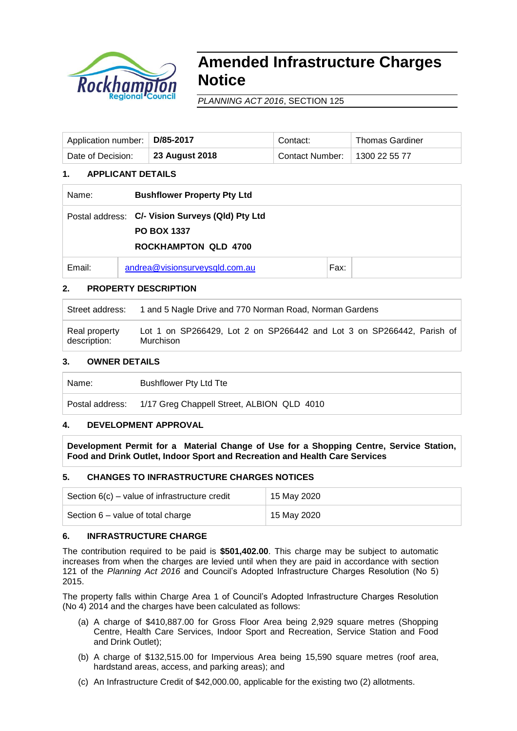

# **Amended Infrastructure Charges Notice**

*PLANNING ACT 2016*, SECTION 125

| Application number:   D/85-2017 |                | Contact:        | Thomas Gardiner     |
|---------------------------------|----------------|-----------------|---------------------|
| Date of Decision:               | 23 August 2018 | Contact Number: | $\pm$ 1300 22 55 77 |

## **1. APPLICANT DETAILS**

| Name:  | <b>Bushflower Property Pty Ltd</b>                                                                    |      |  |
|--------|-------------------------------------------------------------------------------------------------------|------|--|
|        | Postal address: C/- Vision Surveys (Qld) Pty Ltd<br><b>PO BOX 1337</b><br><b>ROCKHAMPTON QLD 4700</b> |      |  |
| Email: | andrea@visionsurveysqld.com.au                                                                        | Fax: |  |

## **2. PROPERTY DESCRIPTION**

Street address: 1 and 5 Nagle Drive and 770 Norman Road, Norman Gardens Real property description: Lot 1 on SP266429, Lot 2 on SP266442 and Lot 3 on SP266442, Parish of Murchison

### **3. OWNER DETAILS**

Name: Bushflower Pty Ltd Tte

Postal address: 1/17 Greg Chappell Street, ALBION QLD 4010

## **4. DEVELOPMENT APPROVAL**

**Development Permit for a Material Change of Use for a Shopping Centre, Service Station, Food and Drink Outlet, Indoor Sport and Recreation and Health Care Services**

#### **5. CHANGES TO INFRASTRUCTURE CHARGES NOTICES**

| Section $6(c)$ – value of infrastructure credit | 15 May 2020 |
|-------------------------------------------------|-------------|
| Section 6 – value of total charge               | 15 May 2020 |

#### **6. INFRASTRUCTURE CHARGE**

The contribution required to be paid is **\$501,402.00**. This charge may be subject to automatic increases from when the charges are levied until when they are paid in accordance with section 121 of the *Planning Act 2016* and Council's Adopted Infrastructure Charges Resolution (No 5) 2015.

The property falls within Charge Area 1 of Council's Adopted Infrastructure Charges Resolution (No 4) 2014 and the charges have been calculated as follows:

- (a) A charge of \$410,887.00 for Gross Floor Area being 2,929 square metres (Shopping Centre, Health Care Services, Indoor Sport and Recreation, Service Station and Food and Drink Outlet);
- (b) A charge of \$132,515.00 for Impervious Area being 15,590 square metres (roof area, hardstand areas, access, and parking areas); and
- (c) An Infrastructure Credit of \$42,000.00, applicable for the existing two (2) allotments.